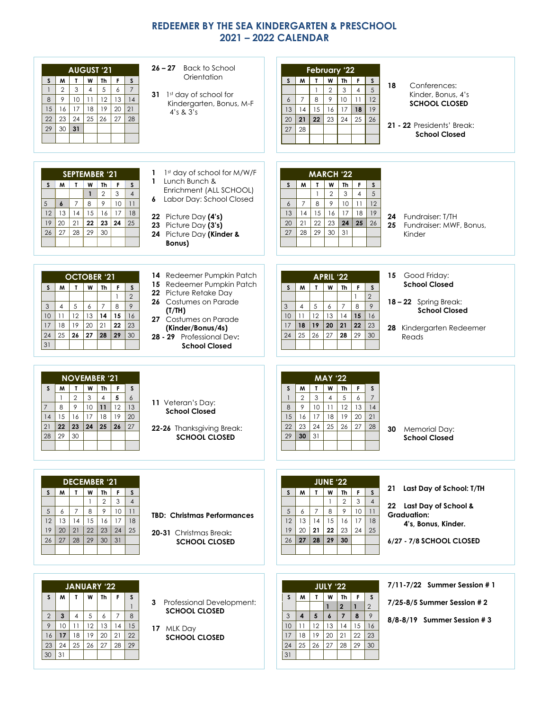## **REDEEMER BY THE SEA KINDERGARTEN & PRESCHOOL 2021 – 2022 CALENDAR**

| <b>AUGUST '21</b><br>M<br>W<br>Th<br>S<br>$\mathbf{T}$<br>F.<br>S<br>3<br>5<br>$\overline{7}$<br>$\overline{2}$<br>$\overline{4}$<br>6<br>$\mathbf{1}$<br>12<br>13<br> 4<br>10<br>9<br>11<br>8<br>19<br>$20\,$<br>16<br>17<br>18<br>21<br>15<br>23<br>24<br>25<br>26<br>27<br>28<br>22<br>29<br>30<br>31                                      | $26 - 27$<br>Back to School<br>Orientation<br>31 1st day of school for<br>Kindergarten, Bonus, M-F<br>4's 8.3's                                                                                                            | February '22<br>$\mathsf{s}$<br>M<br>$\mathbf{T}$<br>W<br>$\mathsf{Th}$<br>F.<br>S<br>$\overline{5}$<br>$\overline{2}$<br>$\mathbf{1}$<br>3<br>$\overline{4}$<br>12<br>$\overline{7}$<br>8<br>9<br>10<br>11<br>6<br>14<br>15<br>19<br>13<br>16<br>17<br>18<br>21<br>20<br>22<br>23<br>24<br>25<br>26<br>28<br>27                                   | 18<br>Conferences:<br>Kinder, Bonus, 4's<br><b>SCHOOL CLOSED</b><br>21 - 22 Presidents' Break:<br><b>School Closed</b>             |
|-----------------------------------------------------------------------------------------------------------------------------------------------------------------------------------------------------------------------------------------------------------------------------------------------------------------------------------------------|----------------------------------------------------------------------------------------------------------------------------------------------------------------------------------------------------------------------------|----------------------------------------------------------------------------------------------------------------------------------------------------------------------------------------------------------------------------------------------------------------------------------------------------------------------------------------------------|------------------------------------------------------------------------------------------------------------------------------------|
| <b>SEPTEMBER '21</b><br>$M$ $T$<br>$Th$ $F$<br>$\mathsf{s}$<br>S<br>W<br>$\overline{2}$<br>3<br>$\mathbf{1}$<br>$\overline{4}$<br>11<br>8<br>9<br>10<br>5<br>$\boldsymbol{6}$<br>$\overline{7}$<br>16<br>17<br>12<br>13<br>14<br>15<br>18<br>21<br>23 24<br>25<br>20<br>22<br>19<br>27<br>29<br>30<br>26<br>28                                | 1st day of school for M/W/F<br>1<br>Lunch Bunch &<br>$\mathbf{1}$<br>Enrichment (ALL SCHOOL)<br>Labor Day: School Closed<br>6<br>22 Picture Day (4's)<br>23 Picture Day (3's)<br>24 Picture Day (Kinder &<br><b>Bonus)</b> | <b>MARCH '22</b><br>M<br>F<br>$\mathsf{s}$<br>W<br>Th<br>$\mathsf{s}$<br>$\mathbf{I}$<br>5<br>$\overline{2}$<br>3<br>$\overline{\phantom{a}}$<br>$\overline{4}$<br>$\overline{7}$<br>$\,8\,$<br>9<br>10<br>12<br>6<br>11<br>15<br> 4<br>$18\,$<br>19<br>13<br>16<br>17<br>21<br>26<br>22<br>23<br>20<br>24<br>25<br>29<br>27<br>28<br>30<br>31     | 24 Fundraiser: T/TH<br>25 Fundraiser: MWF, Bonus,<br>Kinder                                                                        |
| <b>OCTOBER '21</b><br>$\mathbf{T}$<br>$W$ Th<br>$\mathsf F$<br>M<br>$\mathsf{s}$<br>$\mathsf{s}$<br>$\overline{2}$<br>$\mathbf{1}$<br>9<br>8<br>5<br>$\overline{7}$<br>3<br>6<br>$\overline{4}$<br>16<br>12<br>15<br>13<br>14<br>10<br>11<br>19<br>22<br>23<br>18<br>20<br>21<br>17<br>25<br>24<br>26<br>27<br>28<br>$ 29\rangle$<br>30<br>31 | 14 Redeemer Pumpkin Patch<br>15 Redeemer Pumpkin Patch<br>22 Picture Retake Day<br>26 Costumes on Parade<br>(T/TH)<br>27 Costumes on Parade<br>(Kinder/Bonus/4s)<br>28 - 29 Professional Dev:<br><b>School Closed</b>      | <b>APRIL '22</b><br>$\mathbf T$<br>$\boldsymbol{\mathsf{w}}$<br><b>Th</b><br>F.<br>$\mathsf{s}$<br>$\mathsf{s}$<br>M<br>$\overline{2}$<br>9<br>$\mathfrak{Z}$<br>5<br>$\overline{7}$<br>8<br>$\overline{4}$<br>6<br>12<br>13<br>16<br>10<br>11<br>14<br>15<br>18<br>$19$<br>20<br>$21$<br>22<br>17<br>23<br>25<br>26<br>27<br>28<br>29<br>24<br>30 | Good Friday:<br>15<br><b>School Closed</b><br>18 - 22 Spring Break:<br><b>School Closed</b><br>28 Kindergarten Redeemer<br>Reads   |
| <b>NOVEMBER '21</b><br>W<br>Th<br>$\mathsf{s}$<br>M<br>$\mathbf{T}$<br>F<br>S.<br>$\overline{2}$<br>5<br>$\overline{6}$<br>3<br>$\mathbf{1}$<br>$\overline{4}$<br>12<br>13<br>8<br>9<br>10<br>  11<br>$\overline{7}$<br>15<br>20<br>16<br>17<br>18<br>19<br>14<br>21<br>22<br>23<br> 24 <br>$ 25\rangle$<br>26<br>27<br>30<br>28<br>29        | 11 Veteran's Day:<br><b>School Closed</b><br>22-26 Thanksgiving Break:<br><b>SCHOOL CLOSED</b>                                                                                                                             | <b>MAY '22</b><br>W<br>$\mathbf{T}$<br>Th<br>F<br>$\mathsf{s}$<br>S.<br>M<br>$\overline{7}$<br>$\mathbf{3}$<br>5<br>$\mathbf{2}$<br>$\overline{4}$<br>6<br>$\mathbf{1}$<br>8<br>9<br>$10\,$<br>11<br>12<br>14<br>13<br>17<br>15<br>16<br>18<br>19<br>21<br>20<br>23<br>24<br>25<br>26<br>22<br>27<br>28<br>31<br>29<br>30                          | <b>Memorial Day:</b><br>30<br><b>School Closed</b>                                                                                 |
| <b>DECEMBER '21</b><br>M<br>$\mathbf{I}$<br>W<br><b>Th</b><br>F<br>$\mathsf{s}$<br>S<br>$\overline{4}$<br>$\overline{2}$<br>3<br>9<br>8<br>10<br>7<br>11<br>5<br>6<br>18<br>17<br>12<br>13<br>14<br>15<br>16<br>20<br>22<br>23<br>24<br>25<br>19<br>21<br>31<br>27<br>28<br>29<br>30 <sup>1</sup><br>26                                       | <b>TBD: Christmas Performances</b><br><b>20-31</b> Christmas Break:<br><b>SCHOOL CLOSED</b>                                                                                                                                | <b>JUNE '22</b><br>W<br>F<br>$\mathsf{s}$<br>T.<br>Th<br>S.<br>M<br>$\overline{2}$<br>3<br>$\overline{4}$<br>$\overline{1}$<br>$\overline{7}$<br>8<br>9<br>$10-10$<br>11<br>5<br>6<br>12<br>15<br>18<br>13<br>14<br>16<br>17<br>22<br>25<br>20<br>21<br>19<br>23<br>24<br>27<br>29<br>30<br>26<br>28                                               | Last Day of School: T/TH<br>21<br>22 Last Day of School &<br><b>Graduation:</b><br>4's, Bonus, Kinder.<br>6/27 - 7/8 SCHOOL CLOSED |
| <b>JANUARY '22</b><br>$W$   Th  <br>F<br>M<br>$\mathbf{I}$<br>S.<br>S<br>$\mathbf{1}$<br>8<br>5<br>$\overline{7}$<br>$\mathbf{3}$<br>$\overline{4}$<br>6<br>2<br>12<br>9<br>10<br>13<br>14<br>15<br>11<br>21<br>17<br>18<br>19<br>20<br>22<br>16<br>23<br>24<br>25<br>26<br>27<br>28<br>29<br>31<br>30                                        | 3 Professional Development:<br><b>SCHOOL CLOSED</b><br>17 MLK Day<br><b>SCHOOL CLOSED</b>                                                                                                                                  | <b>JULY '22</b><br>W<br>Th<br>F.<br>W<br>T.<br>S<br>S<br>$\overline{2}$<br>$\overline{2}$<br>$\mathbf{1}$<br>$\mathbf{1}$<br>$\overline{7}$<br>$\pmb{\delta}$<br>8<br>9<br>4<br>5<br>3<br>12<br>14<br>16<br>10<br>11<br>13<br>15<br>19<br>20<br>21<br>18<br>22<br>17<br>23<br>24<br>27<br>25<br>26<br>28<br>29<br>30<br>31                         | $7/11 - 7/22$ Summer Session # 1<br>$7/25 - 8/5$ Summer Session # 2<br>$8/8 - 8/19$ Summer Session # 3                             |